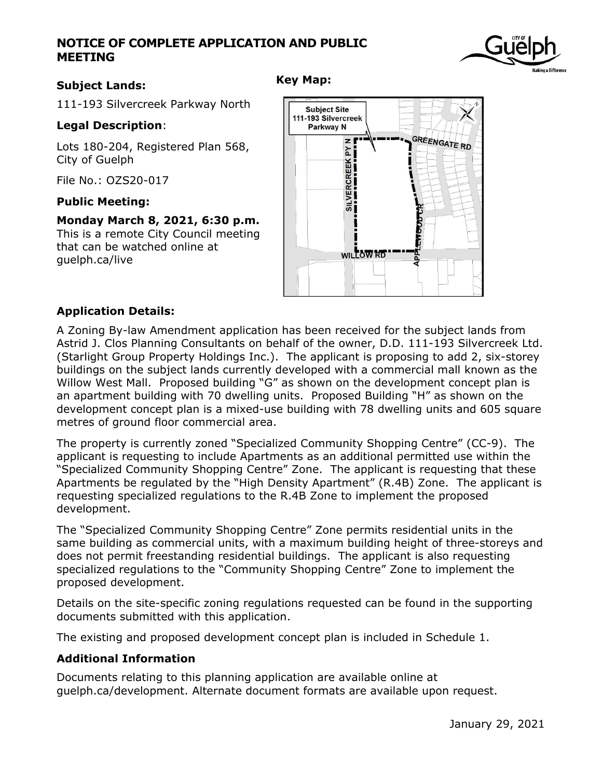# **NOTICE OF COMPLETE APPLICATION AND PUBLIC MEETING**

## **Subject Lands:**

111-193 Silvercreek Parkway North

#### **Legal Description**:

Lots 180-204, Registered Plan 568, City of Guelph

File No.: OZS20-017

#### **Public Meeting:**

**Monday March 8, 2021, 6:30 p.m.** This is a remote City Council meeting that can be watched online at guelph.ca/live



## **Application Details:**

A Zoning By-law Amendment application has been received for the subject lands from Astrid J. Clos Planning Consultants on behalf of the owner, D.D. 111-193 Silvercreek Ltd. (Starlight Group Property Holdings Inc.). The applicant is proposing to add 2, six-storey buildings on the subject lands currently developed with a commercial mall known as the Willow West Mall. Proposed building "G" as shown on the development concept plan is an apartment building with 70 dwelling units. Proposed Building "H" as shown on the development concept plan is a mixed-use building with 78 dwelling units and 605 square metres of ground floor commercial area.

The property is currently zoned "Specialized Community Shopping Centre" (CC-9). The applicant is requesting to include Apartments as an additional permitted use within the "Specialized Community Shopping Centre" Zone. The applicant is requesting that these Apartments be regulated by the "High Density Apartment" (R.4B) Zone. The applicant is requesting specialized regulations to the R.4B Zone to implement the proposed development.

The "Specialized Community Shopping Centre" Zone permits residential units in the same building as commercial units, with a maximum building height of three-storeys and does not permit freestanding residential buildings. The applicant is also requesting specialized regulations to the "Community Shopping Centre" Zone to implement the proposed development.

Details on the site-specific zoning regulations requested can be found in the supporting documents submitted with this application.

The existing and proposed development concept plan is included in Schedule 1.

#### **Additional Information**

Documents relating to this planning application are available online at guelph.ca/development. Alternate document formats are available upon request.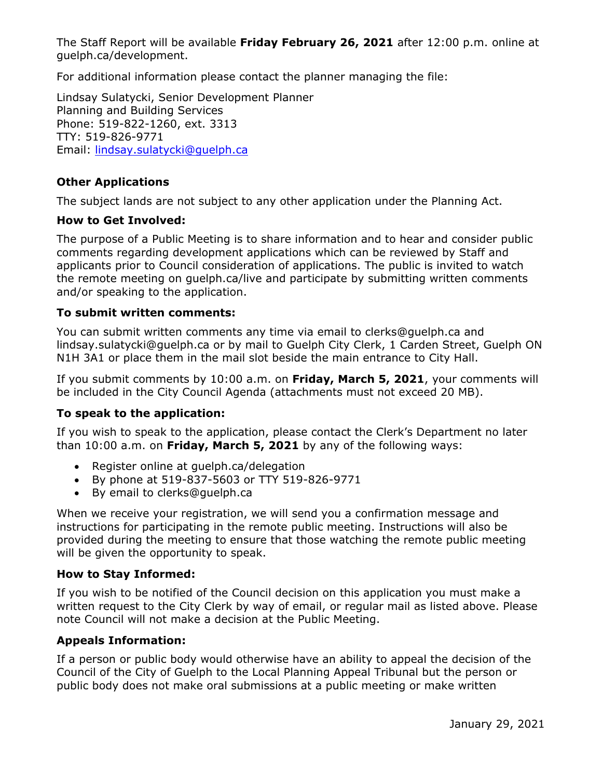The Staff Report will be available **Friday February 26, 2021** after 12:00 p.m. online at guelph.ca/development.

For additional information please contact the planner managing the file:

Lindsay Sulatycki, Senior Development Planner Planning and Building Services Phone: 519-822-1260, ext. 3313 TTY: 519-826-9771 Email: [lindsay.sulatycki@guelph.ca](mailto:lindsay.sulatycki@guelph.ca)

# **Other Applications**

The subject lands are not subject to any other application under the Planning Act.

## **How to Get Involved:**

The purpose of a Public Meeting is to share information and to hear and consider public comments regarding development applications which can be reviewed by Staff and applicants prior to Council consideration of applications. The public is invited to watch the remote meeting on guelph.ca/live and participate by submitting written comments and/or speaking to the application.

## **To submit written comments:**

You can submit written comments any time via email to clerks@guelph.ca and [lindsay.sulatycki@guelph.ca](mailto:lindsay.sulatycki@guelph.ca) or by mail to Guelph City Clerk, 1 Carden Street, Guelph ON N1H 3A1 or place them in the mail slot beside the main entrance to City Hall.

If you submit comments by 10:00 a.m. on **Friday, March 5, 2021**, your comments will be included in the City Council Agenda (attachments must not exceed 20 MB).

# **To speak to the application:**

If you wish to speak to the application, please contact the Clerk's Department no later than 10:00 a.m. on **Friday, March 5, 2021** by any of the following ways:

- Register online at quelph.ca/delegation
- By phone at 519-837-5603 or TTY 519-826-9771
- By email to clerks@guelph.ca

When we receive your registration, we will send you a confirmation message and instructions for participating in the remote public meeting. Instructions will also be provided during the meeting to ensure that those watching the remote public meeting will be given the opportunity to speak.

# **How to Stay Informed:**

If you wish to be notified of the Council decision on this application you must make a written request to the City Clerk by way of email, or regular mail as listed above. Please note Council will not make a decision at the Public Meeting.

# **Appeals Information:**

If a person or public body would otherwise have an ability to appeal the decision of the Council of the City of Guelph to the Local Planning Appeal Tribunal but the person or public body does not make oral submissions at a public meeting or make written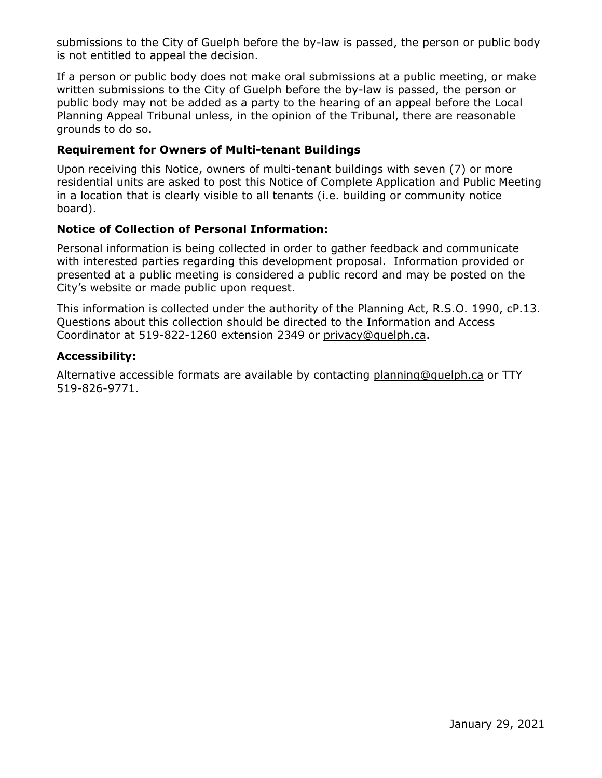submissions to the City of Guelph before the by-law is passed, the person or public body is not entitled to appeal the decision.

If a person or public body does not make oral submissions at a public meeting, or make written submissions to the City of Guelph before the by-law is passed, the person or public body may not be added as a party to the hearing of an appeal before the Local Planning Appeal Tribunal unless, in the opinion of the Tribunal, there are reasonable grounds to do so.

## **Requirement for Owners of Multi-tenant Buildings**

Upon receiving this Notice, owners of multi-tenant buildings with seven (7) or more residential units are asked to post this Notice of Complete Application and Public Meeting in a location that is clearly visible to all tenants (i.e. building or community notice board).

## **Notice of Collection of Personal Information:**

Personal information is being collected in order to gather feedback and communicate with interested parties regarding this development proposal. Information provided or presented at a public meeting is considered a public record and may be posted on the City's website or made public upon request.

This information is collected under the authority of the Planning Act, R.S.O. 1990, cP.13. Questions about this collection should be directed to the Information and Access Coordinator at 519-822-1260 extension 2349 or [privacy@guelph.ca.](mailto:privacy@guelph.ca)

#### **Accessibility:**

Alternative accessible formats are available by contacting [planning@guelph.ca](mailto:planning@guelph.ca) or TTY 519-826-9771.